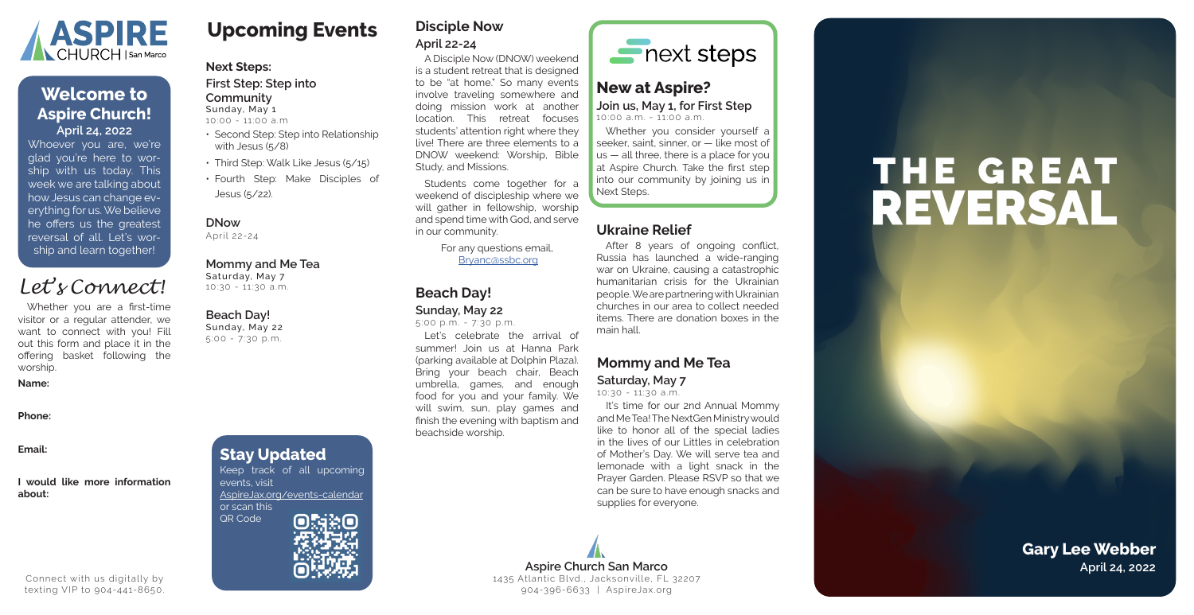### **Upcoming Events**

#### **Next Steps:**

#### **First Step: Step into**

**Community** Sunday, May 1

10:00 - 11:00 a.m

- Second Step: Step into Relationship with Jesus (5/8)
- Third Step: Walk Like Jesus (5/15)
- Fourth Step: Make Disciples of Jesus (5/22).

#### **DNow**

April 22-24

#### **Mommy and Me Tea**

Saturday, May 7 10:30 - 11:30 a.m.

#### **Beach Day!**

Sunday, May 22 5:00 - 7:30 p.m.

### **Disciple Now April 22-24**

Students come together for a weekend of discipleship where we will gather in fellowship, worship and spend time with God, and serve in our community.

A Disciple Now (DNOW) weekend is a student retreat that is designed to be "at home." So many events involve traveling somewhere and doing mission work at another location. This retreat focuses students' attention right where they live! There are three elements to a DNOW weekend: Worship, Bible Study, and Missions.

> It's time for our 2nd Annual Mommy and Me Tea! The NextGen Ministry would like to honor all of the special ladies in the lives of our Littles in celebration of Mother's Day. We will serve tea and lemonade with a light snack in the Prayer Garden. Please RSVP so that we can be sure to have enough snacks and supplies for everyone.

For any questions email, Bryanc@ssbc.org

### **Mommy and Me Tea**

#### **Saturday, May 7**

10:30 - 11:30 a.m.

### **Beach Day!**

**Aspire Church San Marco April 24, 2022** 1435 Atlantic Blvd., Jacksonville, FL 32207 904-396-6633 | AspireJax.org

#### **Sunday, May 22**

5:00 p.m. - 7:30 p.m.

Let's celebrate the arrival of summer! Join us at Hanna Park (parking available at Dolphin Plaza). Bring your beach chair, Beach umbrella, games, and enough food for you and your family. We will swim, sun, play games and finish the evening with baptism and beachside worship.



### **Ukraine Relief**

After 8 years of ongoing conflict, Russia has launched a wide-ranging war on Ukraine, causing a catastrophic humanitarian crisis for the Ukrainian people. We are partnering with Ukrainian churches in our area to collect needed items. There are donation boxes in the main hall.

### **New at Aspire? Join us, May 1, for First Step**

10:00 a.m. - 11:00 a.m.

Whether you consider yourself a seeker, saint, sinner, or — like most of us — all three, there is a place for you at Aspire Church. Take the first step into our community by joining us in Next Steps.

Whoever you are, we're glad you're here to wor ship with us today. This week we are talking about how Jesus can change ev erything for us. We believe he offers us the greatest reversal of all. Let's wor ship and learn together!



### **April 24, 2022 Welcome to Aspire Church!**

**Gary Lee Webber**

Whether you are a first-time visitor or a regular attender, we want to connect with you! Fill out this form and place it in the offering basket following the worship.

#### **Name:**

**Phone:**

**Email:**

**I would like more information about:**

### *Let's Connect!*

Connect with us digitally by texting VIP to 904-441-8650.

## **Stay Updated**

Keep track of all upcoming events, visit AspireJax.org/events-calendar or scan this QR Code



# THE GREAT REVERSAL